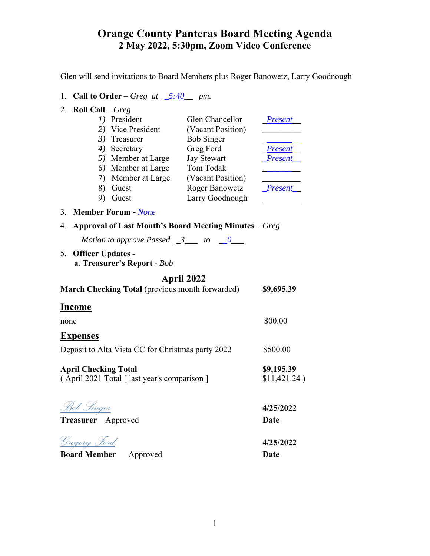Glen will send invitations to Board Members plus Roger Banowetz, Larry Goodnough

1. **Call to Order** – *Greg at \_5:40\_\_ pm.* 

| 2. Roll Call – $Greg$ |                    |                       |                |
|-----------------------|--------------------|-----------------------|----------------|
|                       | President          | Glen Chancellor       | <b>Present</b> |
|                       | 2) Vice President  | (Vacant Position)     |                |
|                       | Treasurer          | <b>Bob Singer</b>     |                |
| 4)                    | Secretary          | Greg Ford             | <b>Present</b> |
|                       | 5) Member at Large | <b>Jay Stewart</b>    | <b>Present</b> |
|                       | 6) Member at Large | Tom Todak             |                |
|                       | Member at Large    | (Vacant Position)     |                |
| 8)                    | Guest              | <b>Roger Banowetz</b> | <b>Present</b> |
|                       | Guest              | Larry Goodnough       |                |

#### 3. **Member Forum -** *None*

- 4. **Approval of Last Month's Board Meeting Minutes**  *Greg* 
	- *Motion to approve Passed \_3\_\_\_ to \_0\_\_*
- 5. **Officer Updates a. Treasurer's Report -** *Bob*

## **April 2022**

| <b>March Checking Total</b> (previous month forwarded)                      | \$9,695.39                 |  |
|-----------------------------------------------------------------------------|----------------------------|--|
| Income                                                                      |                            |  |
| none                                                                        | \$00.00                    |  |
| <b>Expenses</b>                                                             |                            |  |
| Deposit to Alta Vista CC for Christmas party 2022                           | \$500.00                   |  |
| <b>April Checking Total</b><br>(April 2021 Total [ last year's comparison ] | \$9,195.39<br>\$11,421.24) |  |
|                                                                             |                            |  |

*Bob Singer* **4/25/2022**

**Treasurer** Approved **Date**

*Gregory Ford* **4/25/2022**

**Board Member Approved Date**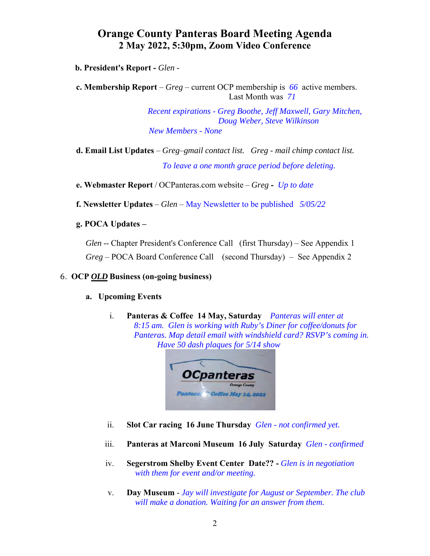**b. President's Report -** *Glen -* 

**c. Membership Report** – *Greg* – current OCP membership is *66* active members. Last Month was *71*

> *Recent expirations - Greg Boothe, Jeff Maxwell, Gary Mitchen, Doug Weber, Steve Wilkinson New Members - None*

**d. Email List Updates** – *Greg*–*gmail contact list. Greg - mail chimp contact list. To leave a one month grace period before deleting.* 

**e. Webmaster Report** / OCPanteras.com website – *Greg* **-** *Up to date* 

**f. Newsletter Updates** – *Glen* – May Newsletter to be published*5/05/22* 

#### **g. POCA Updates –**

*Glen* -- Chapter President's Conference Call (first Thursday) – See Appendix 1 *Greg* – POCA Board Conference Call (second Thursday) – See Appendix 2

#### 6. **OCP** *OLD* **Business (on-going business)**

#### **a. Upcoming Events**

i. **Panteras & Coffee 14 May, Saturday** *Panteras will enter at 8:15 am. Glen is working with Ruby's Diner for coffee/donuts for Panteras. Map detail email with windshield card? RSVP's coming in. Have 50 dash plaques for 5/14 show* 



- ii. **Slot Car racing 16 June Thursday** *Glen not confirmed yet.*
- iii. **Panteras at Marconi Museum 16 July Saturday** *Glen confirmed*
- iv. **Segerstrom Shelby Event Center Date??** *Glen is in negotiation with them for event and/or meeting.*
- v. **Day Museum** *Jay will investigate for August or September. The club will make a donation. Waiting for an answer from them.*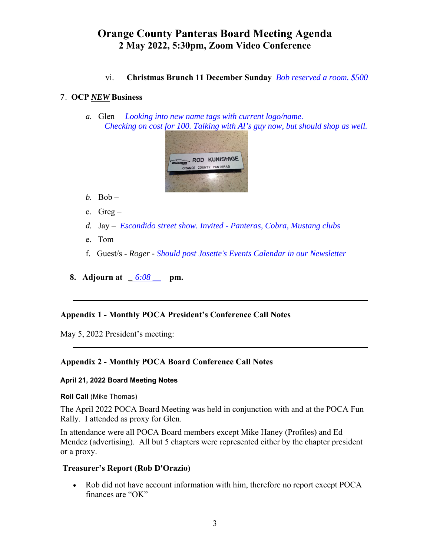vi. **Christmas Brunch 11 December Sunday** *Bob reserved a room. \$500* 

## 7. **OCP** *NEW* **Business**

*a.* Glen – *Looking into new name tags with current logo/name. Checking on cost for 100. Talking with Al's guy now, but should shop as well.* 



- *b.* Bob –
- c. Greg –
- *d.* Jay *Escondido street show. Invited Panteras, Cobra, Mustang clubs*
- e. Tom –
- f. Guest/s - *Roger Should post Josette's Events Calendar in our Newsletter*

 $\mathcal{L}_\mathcal{L} = \mathcal{L}_\mathcal{L} = \mathcal{L}_\mathcal{L} = \mathcal{L}_\mathcal{L} = \mathcal{L}_\mathcal{L} = \mathcal{L}_\mathcal{L} = \mathcal{L}_\mathcal{L} = \mathcal{L}_\mathcal{L} = \mathcal{L}_\mathcal{L} = \mathcal{L}_\mathcal{L} = \mathcal{L}_\mathcal{L} = \mathcal{L}_\mathcal{L} = \mathcal{L}_\mathcal{L} = \mathcal{L}_\mathcal{L} = \mathcal{L}_\mathcal{L} = \mathcal{L}_\mathcal{L} = \mathcal{L}_\mathcal{L}$ 

 $\mathcal{L}_\mathcal{L} = \mathcal{L}_\mathcal{L} = \mathcal{L}_\mathcal{L} = \mathcal{L}_\mathcal{L} = \mathcal{L}_\mathcal{L} = \mathcal{L}_\mathcal{L} = \mathcal{L}_\mathcal{L} = \mathcal{L}_\mathcal{L} = \mathcal{L}_\mathcal{L} = \mathcal{L}_\mathcal{L} = \mathcal{L}_\mathcal{L} = \mathcal{L}_\mathcal{L} = \mathcal{L}_\mathcal{L} = \mathcal{L}_\mathcal{L} = \mathcal{L}_\mathcal{L} = \mathcal{L}_\mathcal{L} = \mathcal{L}_\mathcal{L}$ 

**8. Adjourn at** *\_ 6:08 \_\_* **pm.** 

## **Appendix 1 - Monthly POCA President's Conference Call Notes**

May 5, 2022 President's meeting:

## **Appendix 2 - Monthly POCA Board Conference Call Notes**

#### **April 21, 2022 Board Meeting Notes**

#### **Roll Call** (Mike Thomas)

The April 2022 POCA Board Meeting was held in conjunction with and at the POCA Fun Rally. I attended as proxy for Glen.

In attendance were all POCA Board members except Mike Haney (Profiles) and Ed Mendez (advertising). All but 5 chapters were represented either by the chapter president or a proxy.

## **Treasurer's Report (Rob D'Orazio)**

 Rob did not have account information with him, therefore no report except POCA finances are "OK"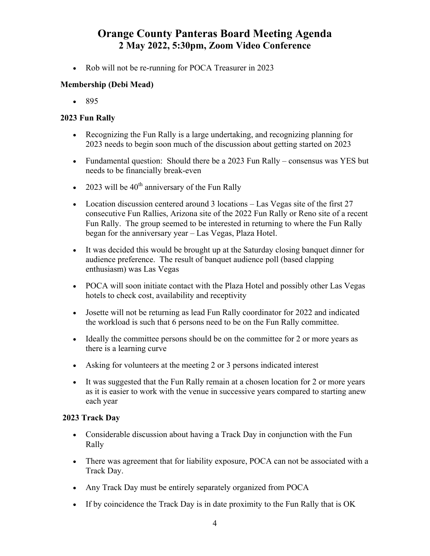• Rob will not be re-running for POCA Treasurer in 2023

## **Membership (Debi Mead)**

 $895$ 

## **2023 Fun Rally**

- Recognizing the Fun Rally is a large undertaking, and recognizing planning for 2023 needs to begin soon much of the discussion about getting started on 2023
- Fundamental question: Should there be a 2023 Fun Rally consensus was YES but needs to be financially break-even
- 2023 will be  $40^{th}$  anniversary of the Fun Rally
- Location discussion centered around 3 locations Las Vegas site of the first 27 consecutive Fun Rallies, Arizona site of the 2022 Fun Rally or Reno site of a recent Fun Rally. The group seemed to be interested in returning to where the Fun Rally began for the anniversary year – Las Vegas, Plaza Hotel.
- It was decided this would be brought up at the Saturday closing banquet dinner for audience preference. The result of banquet audience poll (based clapping enthusiasm) was Las Vegas
- POCA will soon initiate contact with the Plaza Hotel and possibly other Las Vegas hotels to check cost, availability and receptivity
- Josette will not be returning as lead Fun Rally coordinator for 2022 and indicated the workload is such that 6 persons need to be on the Fun Rally committee.
- Ideally the committee persons should be on the committee for 2 or more years as there is a learning curve
- Asking for volunteers at the meeting 2 or 3 persons indicated interest
- It was suggested that the Fun Rally remain at a chosen location for 2 or more years as it is easier to work with the venue in successive years compared to starting anew each year

## **2023 Track Day**

- Considerable discussion about having a Track Day in conjunction with the Fun Rally
- There was agreement that for liability exposure, POCA can not be associated with a Track Day.
- Any Track Day must be entirely separately organized from POCA
- If by coincidence the Track Day is in date proximity to the Fun Rally that is OK